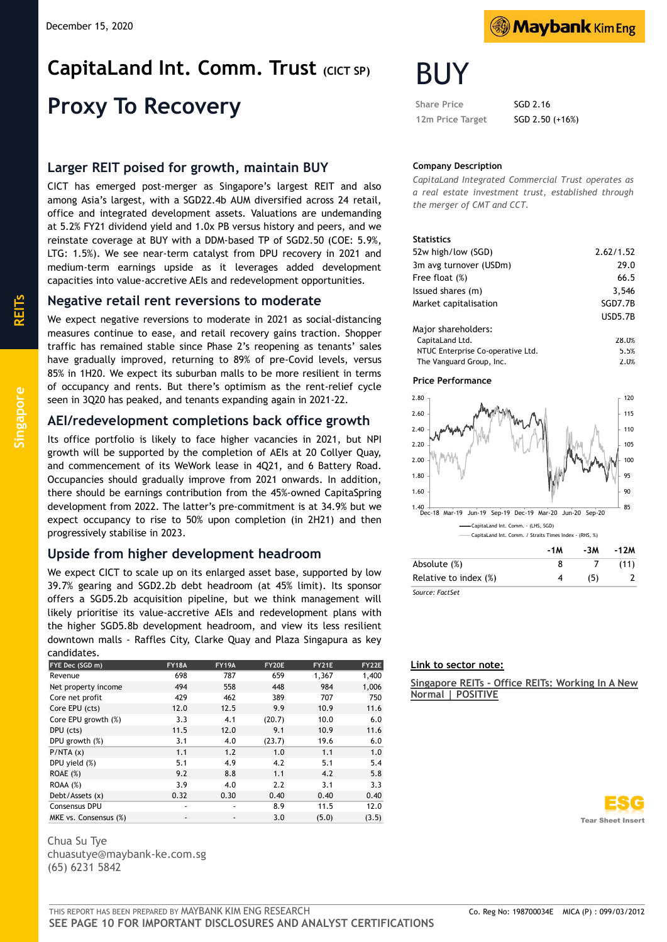# **CapitaLand Int. Comm. Trust (CICT SP) Proxy To Recovery**

## **Larger REIT poised for growth, maintain BUY**

CICT has emerged post-merger as Singapore's largest REIT and also among Asia's largest, with a SGD22.4b AUM diversified across 24 retail, office and integrated development assets. Valuations are undemanding at 5.2% FY21 dividend yield and 1.0x PB versus history and peers, and we reinstate coverage at BUY with a DDM-based TP of SGD2.50 (COE: 5.9%, LTG: 1.5%). We see near-term catalyst from DPU recovery in 2021 and medium-term earnings upside as it leverages added development capacities into value-accretive AEIs and redevelopment opportunities.

## **Negative retail rent reversions to moderate**

We expect negative reversions to moderate in 2021 as social-distancing measures continue to ease, and retail recovery gains traction. Shopper traffic has remained stable since Phase 2's reopening as tenants' sales have gradually improved, returning to 89% of pre-Covid levels, versus 85% in 1H20. We expect its suburban malls to be more resilient in terms of occupancy and rents. But there's optimism as the rent-relief cycle seen in 3Q20 has peaked, and tenants expanding again in 2021-22.

## **AEI/redevelopment completions back office growth**

Its office portfolio is likely to face higher vacancies in 2021, but NPI growth will be supported by the completion of AEIs at 20 Collyer Quay, and commencement of its WeWork lease in 4Q21, and 6 Battery Road. Occupancies should gradually improve from 2021 onwards. In addition, there should be earnings contribution from the 45%-owned CapitaSpring development from 2022. The latter's pre-commitment is at 34.9% but we expect occupancy to rise to 50% upon completion (in 2H21) and then progressively stabilise in 2023.

## **Upside from higher development headroom**

We expect CICT to scale up on its enlarged asset base, supported by low 39.7% gearing and SGD2.2b debt headroom (at 45% limit). Its sponsor offers a SGD5.2b acquisition pipeline, but we think management will likely prioritise its value-accretive AEIs and redevelopment plans with the higher SGD5.8b development headroom, and view its less resilient downtown malls - Raffles City, Clarke Quay and Plaza Singapura as key candidates.

| -----------           |              |              |        |       |       |
|-----------------------|--------------|--------------|--------|-------|-------|
| FYE Dec (SGD m)       | <b>FY18A</b> | <b>FY19A</b> | FY20E  | FY21E | FY22E |
| Revenue               | 698          | 787          | 659    | 1,367 | 1,400 |
| Net property income   | 494          | 558          | 448    | 984   | 1,006 |
| Core net profit       | 429          | 462          | 389    | 707   | 750   |
| Core EPU (cts)        | 12.0         | 12.5         | 9.9    | 10.9  | 11.6  |
| Core EPU growth (%)   | 3.3          | 4.1          | (20.7) | 10.0  | 6.0   |
| DPU (cts)             | 11.5         | 12.0         | 9.1    | 10.9  | 11.6  |
| DPU growth (%)        | 3.1          | 4.0          | (23.7) | 19.6  | 6.0   |
| P/NTA(x)              | 1.1          | 1.2          | 1.0    | 1.1   | 1.0   |
| DPU yield (%)         | 5.1          | 4.9          | 4.2    | 5.1   | 5.4   |
| ROAE(%)               | 9.2          | 8.8          | 1.1    | 4.2   | 5.8   |
| ROAA (%)              | 3.9          | 4.0          | 2.2    | 3.1   | 3.3   |
| Debt/Assets (x)       | 0.32         | 0.30         | 0.40   | 0.40  | 0.40  |
| <b>Consensus DPU</b>  | ٠            | ٠            | 8.9    | 11.5  | 12.0  |
| MKE vs. Consensus (%) |              | ٠            | 3.0    | (5.0) | (3.5) |

Chua Su Tye chuasutye@maybank-ke.com.sg (65) 6231 5842



# BUY

Share Price **SGD 2.16 12m Price Target** SGD 2.50 (+16%)

## **Company Description**

*CapitaLand Integrated Commercial Trust operates as a real estate investment trust, established through the merger of CMT and CCT.*

## **Statistics**

| 52w high/low (SGD)                | 2.62/1.52      |
|-----------------------------------|----------------|
| 3m avg turnover (USDm)            | 29.0           |
| Free float (%)                    | 66.5           |
| Issued shares (m)                 | 3,546          |
| Market capitalisation             | SGD7.7B        |
|                                   | <b>USD5.7B</b> |
| Major shareholders:               |                |
| CapitaLand Ltd.                   | 28.0%          |
| NTUC Enterprise Co-operative Ltd. | 5.5%           |
| The Vanguard Group, Inc.          | 2.0%           |

### **Price Performance**



|                       | -1M | -3M | -12M |
|-----------------------|-----|-----|------|
| Absolute (%)          | 8   |     | (11) |
| Relative to index (%) |     | (5) |      |
| Source: FactSet       |     |     |      |

*Source: FactSet*

## **Link to sector note:**

**Singapore REITs - [Office REITs: Working In A New](https://factsetpdf.maybank-ke.com/PDF/204468_SF__c73538d8da7e4580bc6bead1bc66a9ce.pdf)  [Normal | POSITIVE](https://factsetpdf.maybank-ke.com/PDF/204468_SF__c73538d8da7e4580bc6bead1bc66a9ce.pdf)**



**REITs**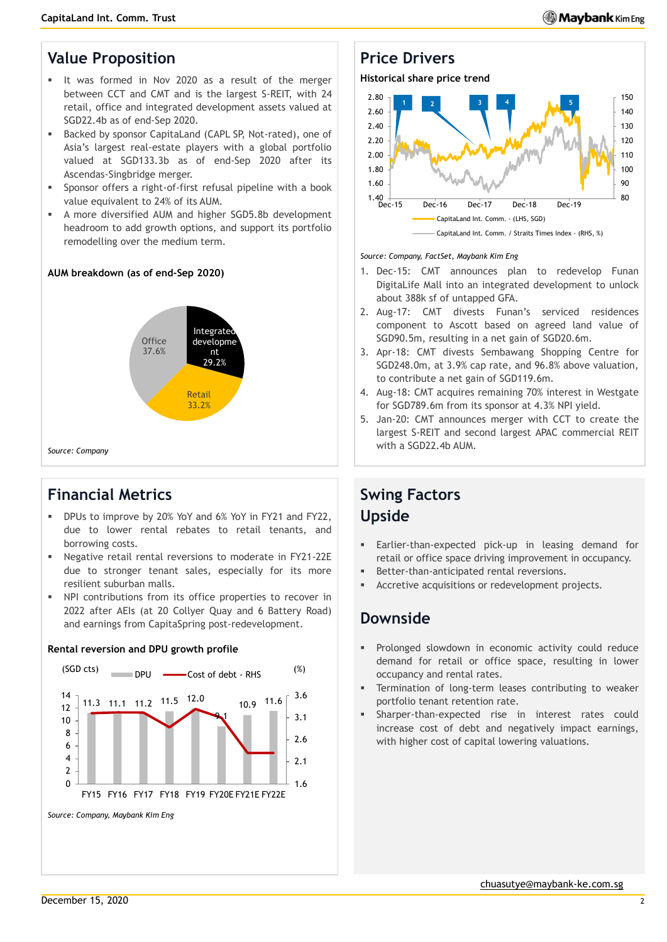## **Value Proposition**

- It was formed in Nov 2020 as a result of the merger between CCT and CMT and is the largest S-REIT, with 24 retail, office and integrated development assets valued at SGD22.4b as of end-Sep 2020.
- Backed by sponsor CapitaLand (CAPL SP, Not-rated), one of Asia's largest real-estate players with a global portfolio valued at SGD133.3b as of end-Sep 2020 after its Ascendas-Singbridge merger.
- Sponsor offers a right-of-first refusal pipeline with a book value equivalent to 24% of its AUM.
- A more diversified AUM and higher SGD5.8b development headroom to add growth options, and support its portfolio remodelling over the medium term.

## **AUM breakdown (as of end-Sep 2020)**



## **Financial Metrics**

- DPUs to improve by 20% YoY and 6% YoY in FY21 and FY22, due to lower rental rebates to retail tenants, and borrowing costs.
- Negative retail rental reversions to moderate in FY21-22E due to stronger tenant sales, especially for its more resilient suburban malls.
- NPI contributions from its office properties to recover in 2022 after AEIs (at 20 Collyer Quay and 6 Battery Road) and earnings from CapitaSpring post-redevelopment.



## **Rental reversion and DPU growth profile**

## **Price Drivers**

**Historical share price trend**



## *Source: Company, FactSet, Maybank Kim Eng*

- 1. Dec-15: CMT announces plan to redevelop Funan DigitaLife Mall into an integrated development to unlock about 388k sf of untapped GFA.
- 2. Aug-17: CMT divests Funan's serviced residences component to Ascott based on agreed land value of SGD90.5m, resulting in a net gain of SGD20.6m.
- 3. Apr-18: CMT divests Sembawang Shopping Centre for SGD248.0m, at 3.9% cap rate, and 96.8% above valuation, to contribute a net gain of SGD119.6m.
- 4. Aug-18: CMT acquires remaining 70% interest in Westgate for SGD789.6m from its sponsor at 4.3% NPI yield.
- 5. Jan-20: CMT announces merger with CCT to create the largest S-REIT and second largest APAC commercial REIT with a SGD22.4b AUM.

## **Swing Factors Upside**

- Earlier-than-expected pick-up in leasing demand for retail or office space driving improvement in occupancy.
- Better-than-anticipated rental reversions.
- Accretive acquisitions or redevelopment projects.

## **Downside**

- Prolonged slowdown in economic activity could reduce demand for retail or office space, resulting in lower occupancy and rental rates.
- Termination of long-term leases contributing to weaker portfolio tenant retention rate.
- Sharper-than-expected rise in interest rates could increase cost of debt and negatively impact earnings, with higher cost of capital lowering valuations.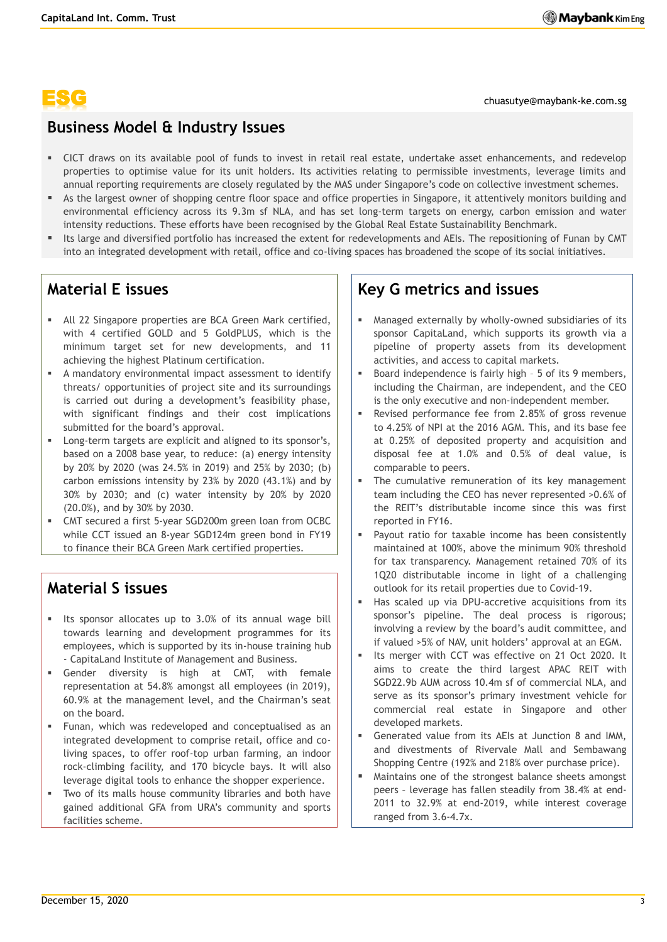chuasutye@maybank-ke.com.sg

## **Business Model & Industry Issues**

- CICT draws on its available pool of funds to invest in retail real estate, undertake asset enhancements, and redevelop properties to optimise value for its unit holders. Its activities relating to permissible investments, leverage limits and annual reporting requirements are closely regulated by the MAS under Singapore's code on collective investment schemes.
- As the largest owner of shopping centre floor space and office properties in Singapore, it attentively monitors building and environmental efficiency across its 9.3m sf NLA, and has set long-term targets on energy, carbon emission and water intensity reductions. These efforts have been recognised by the Global Real Estate Sustainability Benchmark.
- Its large and diversified portfolio has increased the extent for redevelopments and AEIs. The repositioning of Funan by CMT into an integrated development with retail, office and co-living spaces has broadened the scope of its social initiatives.

## **Material E issues**

- All 22 Singapore properties are BCA Green Mark certified, with 4 certified GOLD and 5 GoldPLUS, which is the minimum target set for new developments, and 11 achieving the highest Platinum certification.
- A mandatory environmental impact assessment to identify threats/ opportunities of project site and its surroundings is carried out during a development's feasibility phase, with significant findings and their cost implications submitted for the board's approval.
- Long-term targets are explicit and aligned to its sponsor's, based on a 2008 base year, to reduce: (a) energy intensity by 20% by 2020 (was 24.5% in 2019) and 25% by 2030; (b) carbon emissions intensity by 23% by 2020 (43.1%) and by 30% by 2030; and (c) water intensity by 20% by 2020 (20.0%), and by 30% by 2030.
- CMT secured a first 5-year SGD200m green loan from OCBC while CCT issued an 8-year SGD124m green bond in FY19 to finance their BCA Green Mark certified properties.

## **Material S issues**

- Its sponsor allocates up to 3.0% of its annual wage bill towards learning and development programmes for its employees, which is supported by its in-house training hub - CapitaLand Institute of Management and Business.
- Gender diversity is high at CMT, with female representation at 54.8% amongst all employees (in 2019), 60.9% at the management level, and the Chairman's seat on the board.
- Funan, which was redeveloped and conceptualised as an integrated development to comprise retail, office and coliving spaces, to offer roof-top urban farming, an indoor rock-climbing facility, and 170 bicycle bays. It will also leverage digital tools to enhance the shopper experience.
- Two of its malls house community libraries and both have gained additional GFA from URA's community and sports facilities scheme.

## **Key G metrics and issues**

- Managed externally by wholly-owned subsidiaries of its sponsor CapitaLand, which supports its growth via a pipeline of property assets from its development activities, and access to capital markets.
- Board independence is fairly high 5 of its 9 members, including the Chairman, are independent, and the CEO is the only executive and non-independent member.
- Revised performance fee from 2.85% of gross revenue to 4.25% of NPI at the 2016 AGM. This, and its base fee at 0.25% of deposited property and acquisition and disposal fee at 1.0% and 0.5% of deal value, is comparable to peers.
- The cumulative remuneration of its key management team including the CEO has never represented >0.6% of the REIT's distributable income since this was first reported in FY16.
- Payout ratio for taxable income has been consistently maintained at 100%, above the minimum 90% threshold for tax transparency. Management retained 70% of its 1Q20 distributable income in light of a challenging outlook for its retail properties due to Covid-19.
- Has scaled up via DPU-accretive acquisitions from its sponsor's pipeline. The deal process is rigorous; involving a review by the board's audit committee, and if valued >5% of NAV, unit holders' approval at an EGM.
- Its merger with CCT was effective on 21 Oct 2020. It aims to create the third largest APAC REIT with SGD22.9b AUM across 10.4m sf of commercial NLA, and serve as its sponsor's primary investment vehicle for commercial real estate in Singapore and other developed markets.
- Generated value from its AEIs at Junction 8 and IMM, and divestments of Rivervale Mall and Sembawang Shopping Centre (192% and 218% over purchase price).
- Maintains one of the strongest balance sheets amongst peers – leverage has fallen steadily from 38.4% at end-2011 to 32.9% at end-2019, while interest coverage ranged from 3.6-4.7x.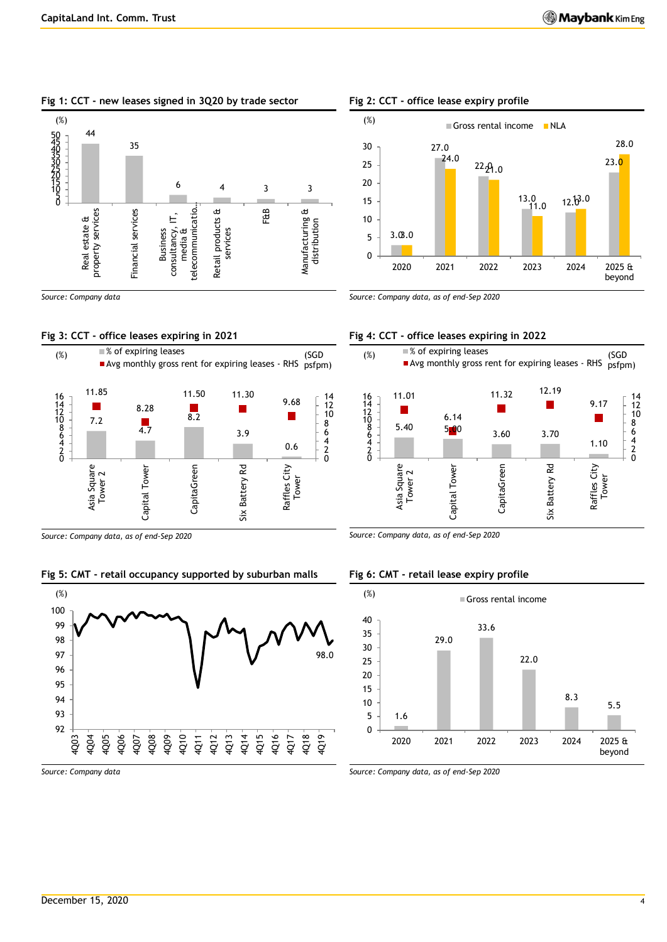## **Fig 1: CCT - new leases signed in 3Q20 by trade sector**



*Source: Company data*

## **Fig 3: CCT - office leases expiring in 2021**



*Source: Company data, as of end-Sep 2020*

## **Fig 5: CMT - retail occupancy supported by suburban malls**



## **Fig 2: CCT - office lease expiry profile**



*Source: Company data, as of end-Sep 2020*

## **Fig 4: CCT - office leases expiring in 2022**



*Source: Company data, as of end-Sep 2020*

## **Fig 6: CMT - retail lease expiry profile**



*Source: Company data*

*Source: Company data, as of end-Sep 2020*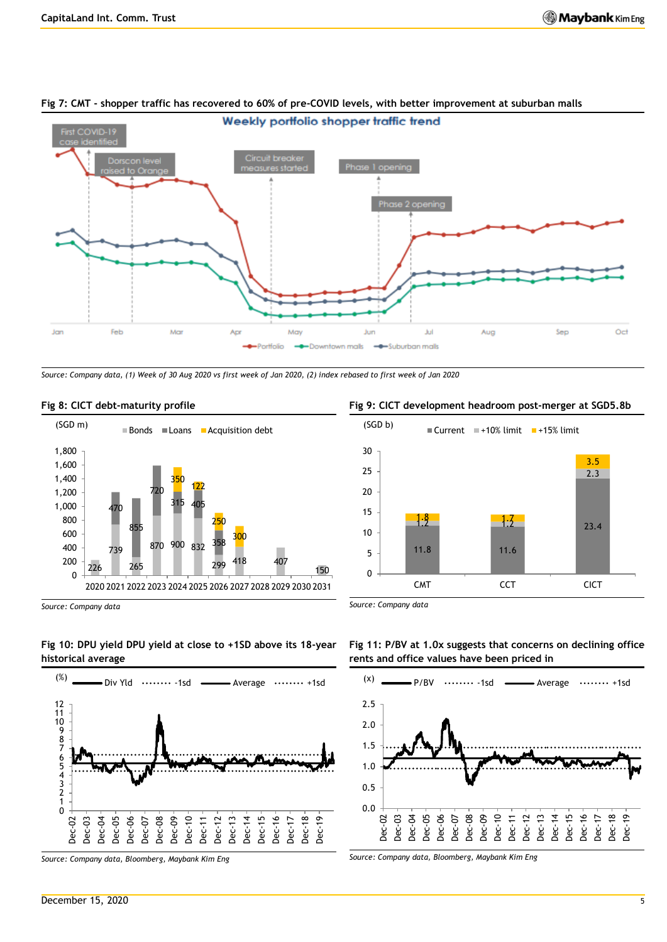2.3

3.5



## **Fig 7: CMT - shopper traffic has recovered to 60% of pre-COVID levels, with better improvement at suburban malls**

*Source: Company data, (1) Week of 30 Aug 2020 vs first week of Jan 2020, (2) index rebased to first week of Jan 2020*



### **Fig 8: CICT debt-maturity profile**



*Source: Company data*

*Source: Company data*





**Fig 11: P/BV at 1.0x suggests that concerns on declining office rents and office values have been priced in**

11.8 11.6

 $1.8 - 1.7$ 

 $(SGD b)$  Current  $+10\%$  limit  $+15\%$  limit



*Source: Company data, Bloomberg, Maybank Kim Eng*

## **Fig 9: CICT development headroom post-merger at SGD5.8b**

 $\frac{1.2}{2.3.4}$  1.2 23.4

CMT CCT CICT



*Source: Company data, Bloomberg, Maybank Kim Eng*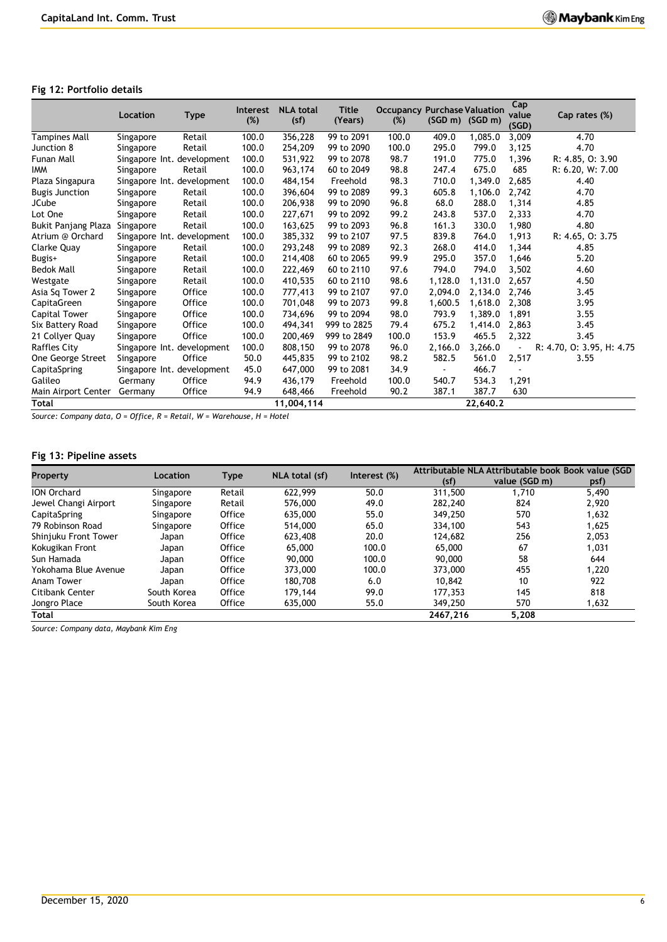## **Fig 12: Portfolio details**

|                            | Location  | <b>Type</b>                | <b>Interest</b><br>$(\%)$ | <b>NLA total</b><br>(sf) | <b>Title</b><br>(Years) | <b>Occupancy Purchase Valuation</b><br>(%) | $(SGD \, m)$ $(SGD \, m)$ |          | Cap<br>value<br>(SGD) | Cap rates (%)             |
|----------------------------|-----------|----------------------------|---------------------------|--------------------------|-------------------------|--------------------------------------------|---------------------------|----------|-----------------------|---------------------------|
| Tampines Mall              | Singapore | Retail                     | 100.0                     | 356,228                  | 99 to 2091              | 100.0                                      | 409.0                     | 1,085.0  | 3,009                 | 4.70                      |
| Junction 8                 | Singapore | Retail                     | 100.0                     | 254,209                  | 99 to 2090              | 100.0                                      | 295.0                     | 799.0    | 3,125                 | 4.70                      |
| Funan Mall                 |           | Singapore Int. development | 100.0                     | 531,922                  | 99 to 2078              | 98.7                                       | 191.0                     | 775.0    | 1,396                 | R: 4.85, O: 3.90          |
| <b>IMM</b>                 | Singapore | Retail                     | 100.0                     | 963,174                  | 60 to 2049              | 98.8                                       | 247.4                     | 675.0    | 685                   | R: 6.20, W: 7.00          |
| Plaza Singapura            |           | Singapore Int. development | 100.0                     | 484,154                  | Freehold                | 98.3                                       | 710.0                     | 1.349.0  | 2,685                 | 4.40                      |
| <b>Bugis Junction</b>      | Singapore | Retail                     | 100.0                     | 396,604                  | 99 to 2089              | 99.3                                       | 605.8                     | 1,106.0  | 2,742                 | 4.70                      |
| <b>JCube</b>               | Singapore | Retail                     | 100.0                     | 206,938                  | 99 to 2090              | 96.8                                       | 68.0                      | 288.0    | 1,314                 | 4.85                      |
| Lot One                    | Singapore | Retail                     | 100.0                     | 227,671                  | 99 to 2092              | 99.2                                       | 243.8                     | 537.0    | 2,333                 | 4.70                      |
| <b>Bukit Panjang Plaza</b> | Singapore | Retail                     | 100.0                     | 163,625                  | 99 to 2093              | 96.8                                       | 161.3                     | 330.0    | 1,980                 | 4.80                      |
| Atrium @ Orchard           |           | Singapore Int. development | 100.0                     | 385,332                  | 99 to 2107              | 97.5                                       | 839.8                     | 764.0    | 1,913                 | R: 4.65, O: 3.75          |
| Clarke Quay                | Singapore | Retail                     | 100.0                     | 293,248                  | 99 to 2089              | 92.3                                       | 268.0                     | 414.0    | 1,344                 | 4.85                      |
| Bugis+                     | Singapore | Retail                     | 100.0                     | 214,408                  | 60 to 2065              | 99.9                                       | 295.0                     | 357.0    | 1,646                 | 5.20                      |
| <b>Bedok Mall</b>          | Singapore | Retail                     | 100.0                     | 222,469                  | 60 to 2110              | 97.6                                       | 794.0                     | 794.0    | 3,502                 | 4.60                      |
| Westgate                   | Singapore | Retail                     | 100.0                     | 410,535                  | 60 to 2110              | 98.6                                       | 1,128.0                   | 1,131.0  | 2,657                 | 4.50                      |
| Asia Sq Tower 2            | Singapore | Office                     | 100.0                     | 777,413                  | 99 to 2107              | 97.0                                       | 2.094.0                   | 2.134.0  | 2.746                 | 3.45                      |
| CapitaGreen                | Singapore | <b>Office</b>              | 100.0                     | 701,048                  | 99 to 2073              | 99.8                                       | 1,600.5                   | 1,618.0  | 2,308                 | 3.95                      |
| Capital Tower              | Singapore | Office                     | 100.0                     | 734,696                  | 99 to 2094              | 98.0                                       | 793.9                     | 1,389.0  | 1,891                 | 3.55                      |
| Six Battery Road           | Singapore | Office                     | 100.0                     | 494,341                  | 999 to 2825             | 79.4                                       | 675.2                     | 1,414.0  | 2.863                 | 3.45                      |
| 21 Collyer Quay            | Singapore | Office                     | 100.0                     | 200,469                  | 999 to 2849             | 100.0                                      | 153.9                     | 465.5    | 2,322                 | 3.45                      |
| Raffles City               |           | Singapore Int. development | 100.0                     | 808,150                  | 99 to 2078              | 96.0                                       | 2,166.0                   | 3.266.0  |                       | R: 4.70, O: 3.95, H: 4.75 |
| One George Street          | Singapore | Office                     | 50.0                      | 445,835                  | 99 to 2102              | 98.2                                       | 582.5                     | 561.0    | 2,517                 | 3.55                      |
| CapitaSpring               |           | Singapore Int. development | 45.0                      | 647,000                  | 99 to 2081              | 34.9                                       |                           | 466.7    |                       |                           |
| Galileo                    | Germany   | Office                     | 94.9                      | 436,179                  | Freehold                | 100.0                                      | 540.7                     | 534.3    | 1,291                 |                           |
| Main Airport Center        | Germany   | <b>Office</b>              | 94.9                      | 648,466                  | Freehold                | 90.2                                       | 387.1                     | 387.7    | 630                   |                           |
| <b>Total</b>               |           |                            |                           | 11,004,114               |                         |                                            |                           | 22,640.2 |                       |                           |

*Source: Company data, O = Office, R = Retail, W = Warehouse, H = Hotel*

## **Fig 13: Pipeline assets**

| <b>Property</b>      | Location    | <b>Type</b> | NLA total (sf) | Interest (%) | Attributable NLA Attributable book Book value (SGD |               |       |  |
|----------------------|-------------|-------------|----------------|--------------|----------------------------------------------------|---------------|-------|--|
|                      |             |             |                |              | (sf)                                               | value (SGD m) | psf)  |  |
| <b>ION Orchard</b>   | Singapore   | Retail      | 622,999        | 50.0         | 311,500                                            | 1,710         | 5,490 |  |
| Jewel Changi Airport | Singapore   | Retail      | 576,000        | 49.0         | 282,240                                            | 824           | 2.920 |  |
| CapitaSpring         | Singapore   | Office      | 635,000        | 55.0         | 349,250                                            | 570           | 1,632 |  |
| 79 Robinson Road     | Singapore   | Office      | 514,000        | 65.0         | 334,100                                            | 543           | 1.625 |  |
| Shinjuku Front Tower | Japan       | Office      | 623,408        | 20.0         | 124,682                                            | 256           | 2.053 |  |
| Kokugikan Front      | Japan       | Office      | 65,000         | 100.0        | 65,000                                             | 67            | 1,031 |  |
| Sun Hamada           | Japan       | Office      | 90,000         | 100.0        | 90,000                                             | 58            | 644   |  |
| Yokohama Blue Avenue | Japan       | Office      | 373,000        | 100.0        | 373,000                                            | 455           | 1.220 |  |
| Anam Tower           | Japan       | Office      | 180,708        | 6.0          | 10.842                                             | 10            | 922   |  |
| Citibank Center      | South Korea | Office      | 179,144        | 99.0         | 177,353                                            | 145           | 818   |  |
| Jongro Place         | South Korea | Office      | 635,000        | 55.0         | 349,250                                            | 570           | 1,632 |  |
| Total                |             |             |                |              | 2467.216                                           | 5,208         |       |  |

*Source: Company data, Maybank Kim Eng*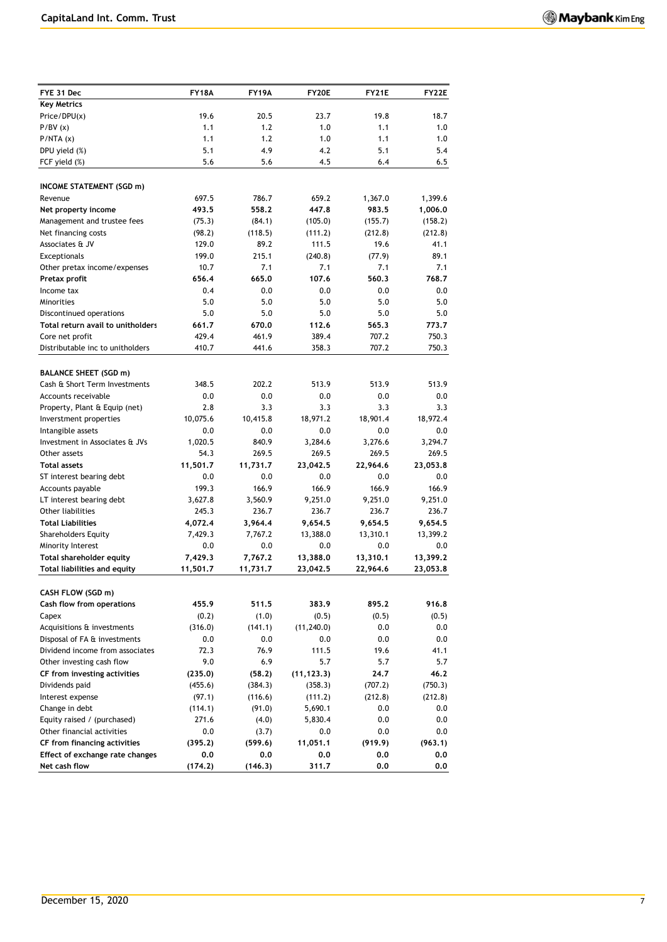| FYE 31 Dec                                         | <b>FY18A</b>     | <b>FY19A</b>     | FY20E            | <b>FY21E</b>     | <b>FY22E</b>       |
|----------------------------------------------------|------------------|------------------|------------------|------------------|--------------------|
| <b>Key Metrics</b>                                 |                  |                  |                  |                  |                    |
| Price/DPU(x)                                       | 19.6             | 20.5             | 23.7             | 19.8             | 18.7               |
| P/BV(x)                                            | 1.1              | 1.2              | 1.0              | 1.1              | 1.0                |
| P/NTA(x)                                           | 1.1              | 1.2              | 1.0              | 1.1              | 1.0                |
| DPU yield (%)                                      | 5.1              | 4.9              | 4.2              | 5.1              | 5.4                |
| FCF yield (%)                                      | 5.6              | 5.6              | 4.5              | 6.4              | 6.5                |
|                                                    |                  |                  |                  |                  |                    |
| <b>INCOME STATEMENT (SGD m)</b><br>Revenue         | 697.5            | 786.7            | 659.2            |                  |                    |
|                                                    | 493.5            | 558.2            | 447.8            | 1,367.0<br>983.5 | 1,399.6            |
| Net property income<br>Management and trustee fees | (75.3)           | (84.1)           | (105.0)          | (155.7)          | 1,006.0<br>(158.2) |
| Net financing costs                                | (98.2)           | (118.5)          | (111.2)          | (212.8)          | (212.8)            |
| Associates & JV                                    | 129.0            | 89.2             | 111.5            | 19.6             | 41.1               |
| Exceptionals                                       | 199.0            | 215.1            | (240.8)          | (77.9)           | 89.1               |
| Other pretax income/expenses                       | 10.7             | 7.1              | 7.1              | 7.1              | 7.1                |
| Pretax profit                                      | 656.4            | 665.0            | 107.6            | 560.3            | 768.7              |
| Income tax                                         | 0.4              | 0.0              | 0.0              | 0.0              | 0.0                |
| Minorities                                         | 5.0              | 5.0              | 5.0              | 5.0              | 5.0                |
| Discontinued operations                            | 5.0              | 5.0              | 5.0              | 5.0              | 5.0                |
| Total return avail to unitholders                  | 661.7            | 670.0            | 112.6            | 565.3            | 773.7              |
| Core net profit                                    | 429.4            | 461.9            | 389.4            | 707.2            | 750.3              |
| Distributable inc to unitholders                   | 410.7            | 441.6            | 358.3            | 707.2            | 750.3              |
|                                                    |                  |                  |                  |                  |                    |
| <b>BALANCE SHEET (SGD m)</b>                       |                  |                  |                  |                  |                    |
| Cash & Short Term Investments                      | 348.5            | 202.2            | 513.9            | 513.9            | 513.9              |
| Accounts receivable                                | 0.0              | 0.0              | 0.0              | 0.0              | 0.0                |
| Property, Plant & Equip (net)                      | 2.8              | 3.3              | 3.3              | 3.3              | 3.3                |
| Inverstment properties                             | 10,075.6         | 10,415.8         | 18,971.2         | 18,901.4         | 18,972.4           |
| Intangible assets                                  | 0.0              | 0.0              | 0.0              | 0.0              | 0.0                |
| Investment in Associates & JVs                     | 1,020.5          | 840.9            | 3,284.6          | 3,276.6          | 3,294.7            |
| Other assets                                       | 54.3             | 269.5            | 269.5            | 269.5            | 269.5              |
| <b>Total assets</b>                                | 11,501.7         | 11,731.7         | 23,042.5         | 22,964.6         | 23,053.8           |
| ST interest bearing debt                           | 0.0              | 0.0              | 0.0              | 0.0              | 0.0                |
| Accounts payable                                   | 199.3            | 166.9            | 166.9<br>9,251.0 | 166.9            | 166.9<br>9,251.0   |
| LT interest bearing debt<br>Other liabilities      | 3,627.8<br>245.3 | 3,560.9<br>236.7 | 236.7            | 9,251.0<br>236.7 | 236.7              |
| <b>Total Liabilities</b>                           | 4,072.4          | 3,964.4          | 9,654.5          | 9,654.5          | 9,654.5            |
| <b>Shareholders Equity</b>                         | 7,429.3          | 7,767.2          | 13,388.0         | 13,310.1         | 13,399.2           |
| Minority Interest                                  | 0.0              | 0.0              | 0.0              | 0.0              | 0.0                |
| Total shareholder equity                           | 7,429.3          | 7,767.2          | 13,388.0         | 13,310.1         | 13,399.2           |
| Total liabilities and equity                       | 11,501.7         | 11,731.7         | 23,042.5         | 22,964.6         | 23,053.8           |
|                                                    |                  |                  |                  |                  |                    |
| CASH FLOW (SGD m)                                  |                  |                  |                  |                  |                    |
| Cash flow from operations                          | 455.9            | 511.5            | 383.9            | 895.2            | 916.8              |
| Capex                                              | (0.2)            | (1.0)            | (0.5)            | (0.5)            | (0.5)              |
| Acquisitions & investments                         | (316.0)          | (141.1)          | (11, 240.0)      | 0.0              | 0.0                |
| Disposal of FA & investments                       | 0.0              | 0.0              | 0.0              | 0.0              | 0.0                |
| Dividend income from associates                    | 72.3             | 76.9             | 111.5            | 19.6             | 41.1               |
| Other investing cash flow                          | 9.0              | 6.9              | 5.7              | 5.7              | 5.7                |
| CF from investing activities                       | (235.0)          | (58.2)           | (11, 123.3)      | 24.7             | 46.2               |
| Dividends paid                                     | (455.6)          | (384.3)          | (358.3)          | (707.2)          | (750.3)            |
| Interest expense                                   | (97.1)           | (116.6)          | (111.2)          | (212.8)          | (212.8)            |
| Change in debt                                     | (114.1)          | (91.0)           | 5,690.1          | 0.0              | $0.0\,$            |
| Equity raised / (purchased)                        | 271.6            | (4.0)            | 5,830.4          | 0.0              | 0.0                |
| Other financial activities                         | 0.0              | (3.7)            | 0.0              | 0.0              | 0.0                |
| CF from financing activities                       | (395.2)          | (599.6)          | 11,051.1         | (919.9)          | (963.1)            |
| Effect of exchange rate changes<br>Net cash flow   | 0.0<br>(174.2)   | 0.0<br>(146.3)   | 0.0<br>311.7     | 0.0<br>0,0       | 0.0<br>0.0         |
|                                                    |                  |                  |                  |                  |                    |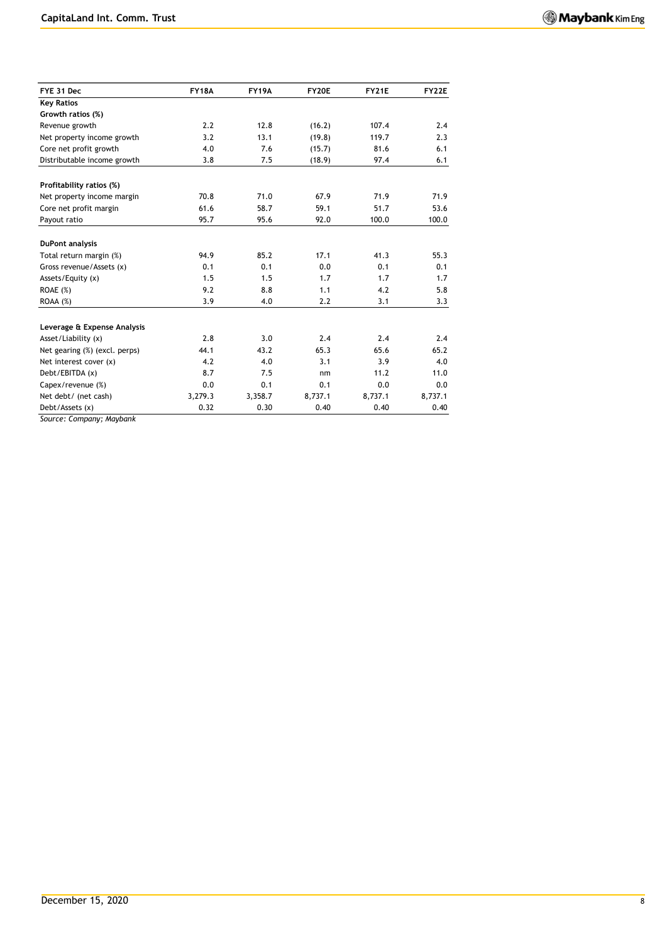| FYE 31 Dec                    | <b>FY18A</b> | <b>FY19A</b> | FY20E   | <b>FY21E</b> | <b>FY22E</b> |
|-------------------------------|--------------|--------------|---------|--------------|--------------|
| <b>Key Ratios</b>             |              |              |         |              |              |
| Growth ratios (%)             |              |              |         |              |              |
| Revenue growth                | 2.2          | 12.8         | (16.2)  | 107.4        | 2.4          |
| Net property income growth    | 3.2          | 13.1         | (19.8)  | 119.7        | 2.3          |
| Core net profit growth        | 4.0          | 7.6          | (15.7)  | 81.6         | 6.1          |
| Distributable income growth   | 3.8          | 7.5          | (18.9)  | 97.4         | 6.1          |
| Profitability ratios (%)      |              |              |         |              |              |
| Net property income margin    | 70.8         | 71.0         | 67.9    | 71.9         | 71.9         |
| Core net profit margin        | 61.6         | 58.7         | 59.1    | 51.7         | 53.6         |
| Payout ratio                  | 95.7         | 95.6         | 92.0    | 100.0        | 100.0        |
| <b>DuPont analysis</b>        |              |              |         |              |              |
| Total return margin (%)       | 94.9         | 85.2         | 17.1    | 41.3         | 55.3         |
| Gross revenue/Assets (x)      | 0.1          | 0.1          | 0.0     | 0.1          | 0.1          |
| Assets/Equity (x)             | 1.5          | 1.5          | 1.7     | 1.7          | 1.7          |
| ROAE (%)                      | 9.2          | 8.8          | 1.1     | 4.2          | 5.8          |
| $ROAA (\%)$                   | 3.9          | 4.0          | 2.2     | 3.1          | 3.3          |
| Leverage & Expense Analysis   |              |              |         |              |              |
| Asset/Liability (x)           | 2.8          | 3.0          | 2.4     | 2.4          | 2.4          |
| Net gearing (%) (excl. perps) | 44.1         | 43.2         | 65.3    | 65.6         | 65.2         |
| Net interest cover (x)        | 4.2          | 4.0          | 3.1     | 3.9          | 4.0          |
| Debt/EBITDA (x)               | 8.7          | 7.5          | nm      | 11.2         | 11.0         |
| Capex/revenue (%)             | 0.0          | 0.1          | 0.1     | 0.0          | 0.0          |
| Net debt/ (net cash)          | 3,279.3      | 3,358.7      | 8,737.1 | 8,737.1      | 8,737.1      |
| Debt/Assets (x)               | 0.32         | 0.30         | 0.40    | 0.40         | 0.40         |

*Source: Company; Maybank*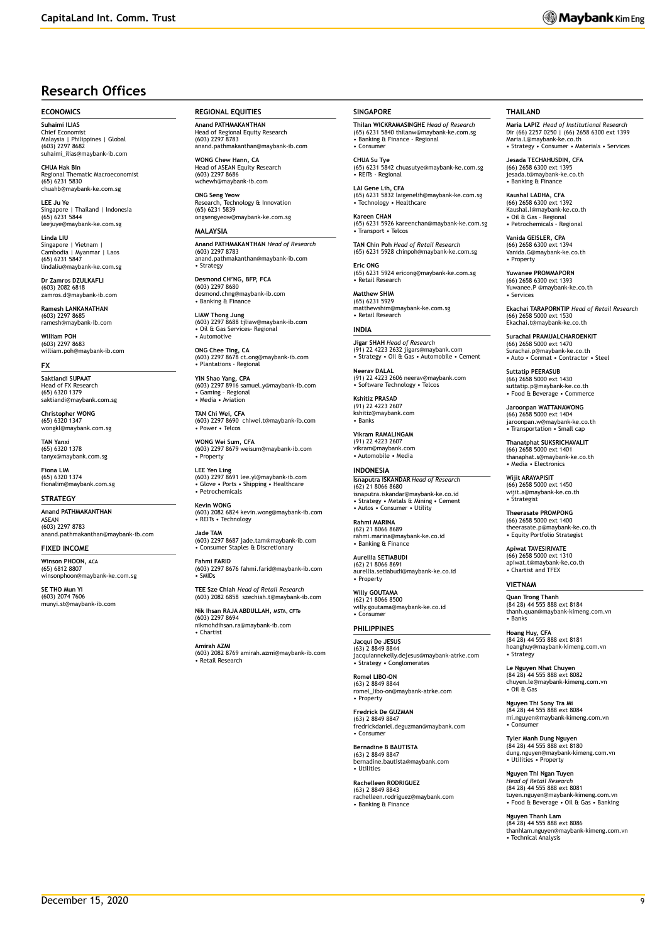## **Research Offices**

#### **ECONOMICS**

**Suhaimi ILIAS** Chief Economist Malaysia | Philippines | Global (603) 2297 8682 suhaimi\_ilias@maybank-ib.com

**CHUA Hak Bin** Regional Thematic Macroeconomist (65) 6231 5830 chuahb@maybank-ke.com.sg

**LEE Ju Ye** Singapore | Thailand | Indonesia (65) 6231 5844 leejuye@maybank-ke.com.sg

**Linda LIU** Singapore | Vietnam | Cambodia | Myanmar | Laos (65) 6231 5847 lindaliu@maybank-ke.com.sg

**Dr Zamros DZULKAFLI**  (603) 2082 6818 zamros.d@maybank-ib.com

**Ramesh LANKANATHAN** (603) 2297 8685 ramesh@maybank-ib.com

**William POH** (603) 2297 8683<br>william poh@ma william.poh@maybank-ib.com

#### **FX**

**Saktiandi SUPAAT** Head of FX Research (65) 6320 1379 saktiandi@maybank.com.sg

**Christopher WONG** (65) 6320 1347 wongkl@maybank.com.sg

**TAN Yanxi** (65) 6320 1378 tanyx@maybank.com.sg

**Fiona LIM** (65) 6320 1374 fionalim@maybank.com.sg

#### **STRATEGY**

**Anand PATHMAKANTHAN** ASEAN (603) 2297 8783 anand.pathmakanthan@maybank-ib.com

**FIXED INCOME**

**Winson PHOON, ACA** (65) 6812 8807 winsonphoon@maybank-ke.com.sg

**SE THO Mun Y** (603) 2074 7606 munyi.st@maybank-ib.com **REGIONAL EQUITIES**

**Anand PATHMAKANTHAN** Head of Regional Equity Research (603) 2297 8783 anand.pathmakanthan@maybank-ib.com

**WONG Chew Hann, CA** Head of ASEAN Equity Research (603) 2297 8686 www<br>naybank-ib.com

**ONG Seng Yeow** Research, Technology & Innovation (65) 6231 5839 ongsengyeow@maybank-ke.com.sg

### **MALAYSIA**

**Anand PATHMAKANTHAN** *Head of Research* (603) 2297 8783 anand.pathmakanthan@maybank-ib.com • Strategy

**Desmond CH'NG, BFP, FCA** (603) 2297 8680 desmond.chng@maybank-ib.com • Banking & Finance

**LIAW Thong Jung** (603) 2297 8688 tjliaw@maybank-ib.com • Oil & Gas Services- Regional • Automotive

**ONG Chee Ting, CA** (603) 2297 8678 ct.ong@maybank-ib.com • Plantations - Regional

**YIN Shao Yang, CPA** (603) 2297 8916 samuel.y@maybank-ib.com • Gaming – Regional • Media • Aviation

**TAN Chi Wei, CFA** (603) 2297 8690 chiwei.t@maybank-ib.com • Power • Telcos

**WONG Wei Sum, CFA** (603) 2297 8679 weisum@maybank-ib.com • Property

**LEE Yen Ling**<br>(603) 2297 8691 lee.yl@maybank-ib.com<br>• Glove • Ports • Shipping • Healthcare<br>• Petrochemicals

**Kevin WONG** (603) 2082 6824 kevin.wong@maybank-ib.com • REITs • Technology

**Jade TAM** (603) 2297 8687 jade.tam@maybank-ib.com • Consumer Staples & Discretionary

**Fahmi FARID** (603) 2297 8676 fahmi.farid@maybank-ib.com • SMIDs

**TEE Sze Chiah** *Head of Retail Research* (603) 2082 6858 szechiah.t@maybank-ib.com

**Nik Ihsan RAJA ABDULLAH, MSTA, CFTe**<br>(603) 2297 8694 (603) 2297 8694 nikmohdihsan.ra@maybank-ib.com • Chartist

**Amirah AZMI** (603) 2082 8769 amirah.azmi@maybank-ib.com • Retail Research

#### **SINGAPORE**

**Thilan WICKRAMASINGHE** *Head of Research* (65) 6231 5840 thilanw@maybank-ke.com.sg • Banking & Finance - Regional • Consumer

**CHUA Su Tye**  (65) 6231 5842 chuasutye@maybank-ke.com.sg • REITs - Regional

**LAI Gene Lih, CFA** (65) 6231 5832 laigenelih@maybank-ke.com.sg • Technology • Healthcare

**Kareen CHAN** (65) 6231 5926 kareenchan@maybank-ke.com.sg • Transport • Telcos

**TAN Chin Poh** *Head of Retail Research* (65) 6231 5928 chinpoh@maybank-ke.com.sg

**Eric ONG** (65) 6231 5924 ericong@maybank-ke.com.sg • Retail Research

**Matthew SHIM** (65) 6231 5929 matthewshim@maybank-ke.com.sg • Retail Research

**INDIA Jigar SHAH** *Head of Research* (91) 22 4223 2632 jigars@maybank.com • Strategy • Oil & Gas • Automobile • Cement

**Neerav DALAL** (91) 22 4223 2606 neerav@maybank.com • Software Technology • Telcos

**Kshitiz PRASAD** (91) 22 4223 2607 kshitiz@maybank.com • Banks

**Vikram RAMALINGAM** (91) 22 4223 2607 vikram@maybank.com • Automobile • Media

**INDONESIA Isnaputra ISKANDAR** *Head of Research* (62) 21 8066 8680 isnaputra.iskandar@maybank-ke.co.id • Strategy • Metals & Mining • Cement • Autos • Consumer • Utility

**Rahmi MARINA** (62) 21 8066 8689 rahmi.marina@maybank-ke.co.id • Banking & Finance

**Aurellia SETIABUDI** (62) 21 8066 8691 aurellia.setiabudi@maybank-ke.co.id • Property

**Willy GOUTAMA** (62) 21 8066 8500 willy.goutama@maybank-ke.co.id • Consumer

## **PHILIPPINES**

**Jacqui De JESUS** (63) 2 8849 8844 jacquiannekelly.dejesus@maybank-atrke.com • Strategy • Conglomerates

**Romel LIBO-ON** (63) 2 8849 8844 romel\_libo-on@maybank-atrke.com • Property

**Fredrick De GUZMAN** (63) 2 8849 8847 fredrickdaniel.deguzman@maybank.com  $•$  Consume

**Bernadine B BAUTISTA** (63) 2 8849 8847 bernadine.bautista@maybank.com • Utilities

**Rachelleen RODRIGUEZ** (63) 2 8849 8843 rachelleen.rodriguez@maybank.com • Banking & Finance

#### **THAILAND**

**Maria LAPIZ** *Head of Institutional Research* Dir (66) 2257 0250 | (66) 2658 6300 ext 1399 Maria.L@maybank-ke.co.th • Strategy • Consumer • Materials • Services

**Jesada TECHAHUSDIN, CFA** (66) 2658 6300 ext 1395 jesada.t@maybank-ke.co.th • Banking & Finance

**Kaushal LADHA, CFA** (66) 2658 6300 ext 1392 Kaushal.l@maybank-ke.co.th • Oil & Gas – Regional • Petrochemicals - Regional

**Vanida GEISLER, CPA** (66) 2658 6300 ext 1394 Vanida.G@maybank-ke.co.th • Property

**Yuwanee PROMMAPORN** (66) 2658 6300 ext 1393 Yuwanee.P @maybank-ke.co.th • Services

**Ekachai TARAPORNTIP** *Head of Retail Research* (66) 2658 5000 ext 1530 Ekachai.t@maybank-ke.co.th

**Surachai PRAMUALCHAROENKIT**  (66) 2658 5000 ext 1470 Surachai.p@maybank-ke.co.th • Auto • Conmat • Contractor • Steel

**Suttatip PEERASUB** (66) 2658 5000 ext 1430 suttatip.p@maybank-ke.co.th • Food & Beverage • Commerce

**Jaroonpan WATTANAWONG** (66) 2658 5000 ext 1404 jaroonpan.w@maybank-ke.co.th • Transportation • Small cap

**Thanatphat SUKSRICHAVALIT** (66) 2658 5000 ext 1401 thanaphat.s@maybank-ke.co.th • Media • Electronics

**Wijit ARAYAPISIT** (66) 2658 5000 ext 1450 wijit.a@maybank-ke.co.th • Strategist

**Theerasate PROMPONG** (66) 2658 5000 ext 1400 theerasate.p@maybank-ke.co.th • Equity Portfolio Strategist

**Apiwat TAVESIRIVATE** (66) 2658 5000 ext 1310 apiwat.t@maybank-ke.co.th • Chartist and TFEX

#### **VIETNAM**

**Quan Trong Thanh** (84 28) 44 555 888 ext 8184 thanh.quan@maybank-kimeng.com.vn • Banks

**Hoang Huy, CFA** (84 28) 44 555 888 ext 8181 hoanghuy@maybank-kimeng.com.vn • Strategy

**Le Nguyen Nhat Chuyen** (84 28) 44 555 888 ext 8082 chuyen.le@maybank-kimeng.com.vn • Oil & Gas

**Nguyen Thi Sony Tra Mi** (84 28) 44 555 888 ext 8084 mi.nguyen@maybank-kimeng.com.vn • Consumer

**Tyler Manh Dung Nguyen** (84 28) 44 555 888 ext 8180 dung.nguyen@maybank-kimeng.com.vn • Utilities • Property

**Nguyen Thi Ngan Tuyen** *Head of Retail Research* (84 28) 44 555 888 ext 8081 tuyen.nguyen@maybank-kimeng.com.vn • Food & Beverage • Oil & Gas • Banking

**Nguyen Thanh Lam** (84 28) 44 555 888 ext 8086 thanhlam.nguyen@maybank-kimeng.com.vn • Technical Analysis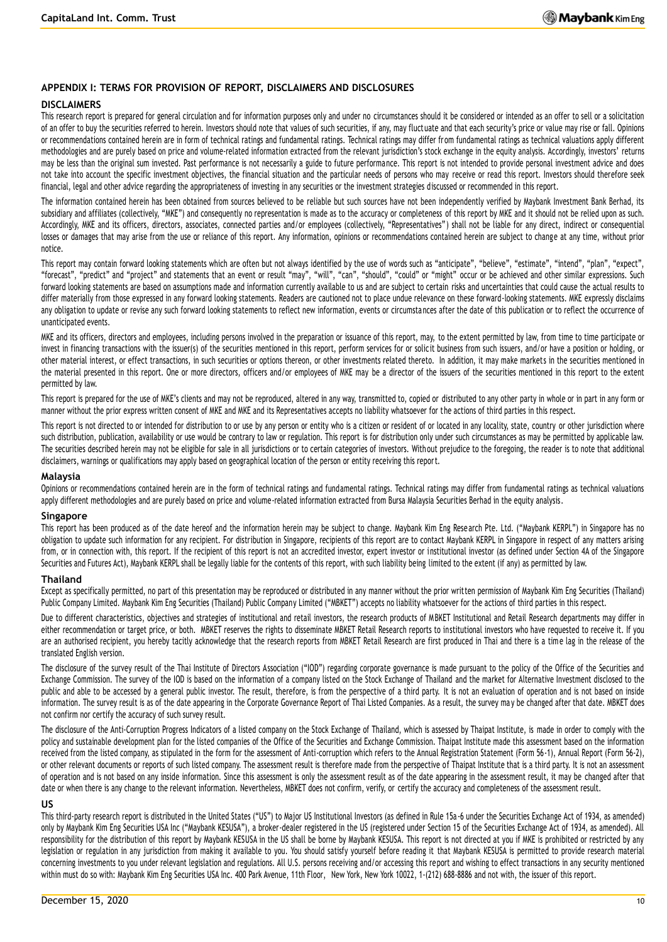### **APPENDIX I: TERMS FOR PROVISION OF REPORT, DISCLAIMERS AND DISCLOSURES**

### **DISCLAIMERS**

This research report is prepared for general circulation and for information purposes only and under no circumstances should it be considered or intended as an offer to sell or a solicitation of an offer to buy the securities referred to herein. Investors should note that values of such securities, if any, may fluctuate and that each security's price or value may rise or fall. Opinions or recommendations contained herein are in form of technical ratings and fundamental ratings. Technical ratings may differ from fundamental ratings as technical valuations apply different methodologies and are purely based on price and volume-related information extracted from the relevant jurisdiction's stock exchange in the equity analysis. Accordingly, investors' returns may be less than the original sum invested. Past performance is not necessarily a guide to future performance. This report is not intended to provide personal investment advice and does not take into account the specific investment objectives, the financial situation and the particular needs of persons who may receive or read this report. Investors should therefore seek financial, legal and other advice regarding the appropriateness of investing in any securities or the investment strategies discussed or recommended in this report.

The information contained herein has been obtained from sources believed to be reliable but such sources have not been independently verified by Maybank Investment Bank Berhad, its subsidiary and affiliates (collectively, "MKE") and consequently no representation is made as to the accuracy or completeness of this report by MKE and it should not be relied upon as such. Accordingly, MKE and its officers, directors, associates, connected parties and/or employees (collectively, "Representatives") shall not be liable for any direct, indirect or consequential losses or damages that may arise from the use or reliance of this report. Any information, opinions or recommendations contained herein are subject to change at any time, without prior notice.

This report may contain forward looking statements which are often but not always identified by the use of words such as "anticipate", "believe", "estimate", "intend", "plan", "expect", "forecast", "predict" and "project" and statements that an event or result "may", "will", "can", "should", "could" or "might" occur or be achieved and other similar expressions. Such forward looking statements are based on assumptions made and information currently available to us and are subject to certain risks and uncertainties that could cause the actual results to differ materially from those expressed in any forward looking statements. Readers are cautioned not to place undue relevance on these forward-looking statements. MKE expressly disclaims any obligation to update or revise any such forward looking statements to reflect new information, events or circumstances after the date of this publication or to reflect the occurrence of unanticipated events.

MKE and its officers, directors and employees, including persons involved in the preparation or issuance of this report, may, to the extent permitted by law, from time to time participate or invest in financing transactions with the issuer(s) of the securities mentioned in this report, perform services for or solicit business from such issuers, and/or have a position or holding, or other material interest, or effect transactions, in such securities or options thereon, or other investments related thereto. In addition, it may make market s in the securities mentioned in the material presented in this report. One or more directors, officers and/or employees of MKE may be a director of the issuers of the securities mentioned in this report to the extent permitted by law.

This report is prepared for the use of MKE's clients and may not be reproduced, altered in any way, transmitted to, copied or distributed to any other party in whole or in part in any form or manner without the prior express written consent of MKE and MKE and its Representatives accepts no liability whatsoever for the actions of third parties in this respect.

This report is not directed to or intended for distribution to or use by any person or entity who is a citizen or resident of or located in any locality, state, country or other jurisdiction where such distribution, publication, availability or use would be contrary to law or regulation. This report is for distribution only under such circumstances as may be permitted by applicable law. The securities described herein may not be eligible for sale in all jurisdictions or to certain categories of investors. With out prejudice to the foregoing, the reader is to note that additional disclaimers, warnings or qualifications may apply based on geographical location of the person or entity receiving this report.

#### **Malaysia**

Opinions or recommendations contained herein are in the form of technical ratings and fundamental ratings. Technical ratings may differ from fundamental ratings as technical valuations apply different methodologies and are purely based on price and volume-related information extracted from Bursa Malaysia Securities Berhad in the equity analysis.

#### **Singapore**

This report has been produced as of the date hereof and the information herein may be subject to change. Maybank Kim Eng Rese arch Pte. Ltd. ("Maybank KERPL") in Singapore has no obligation to update such information for any recipient. For distribution in Singapore, recipients of this report are to contact Maybank KERPL in Singapore in respect of any matters arising from, or in connection with, this report. If the recipient of this report is not an accredited investor, expert investor or institutional investor (as defined under Section 4A of the Singapore Securities and Futures Act), Maybank KERPL shall be legally liable for the contents of this report, with such liability being limited to the extent (if any) as permitted by law.

### **Thailand**

Except as specifically permitted, no part of this presentation may be reproduced or distributed in any manner without the prior written permission of Maybank Kim Eng Securities (Thailand) Public Company Limited. Maybank Kim Eng Securities (Thailand) Public Company Limited ("MBKET") accepts no liability whatsoever for the actions of third parties in this respect.

Due to different characteristics, objectives and strategies of institutional and retail investors, the research products of MBKET Institutional and Retail Research departments may differ in either recommendation or target price, or both. MBKET reserves the rights to disseminate MBKET Retail Research reports to institutional investors who have requested to receive it. If you are an authorised recipient, you hereby tacitly acknowledge that the research reports from MBKET Retail Research are first produced in Thai and there is a time lag in the release of the translated English version.

The disclosure of the survey result of the Thai Institute of Directors Association ("IOD") regarding corporate governance is made pursuant to the policy of the Office of the Securities and Exchange Commission. The survey of the IOD is based on the information of a company listed on the Stock Exchange of Thailand and the market for Alternative Investment disclosed to the public and able to be accessed by a general public investor. The result, therefore, is from the perspective of a third party. It is not an evaluation of operation and is not based on inside information. The survey result is as of the date appearing in the Corporate Governance Report of Thai Listed Companies. As a result, the survey may be changed after that date. MBKET does not confirm nor certify the accuracy of such survey result.

The disclosure of the Anti-Corruption Progress Indicators of a listed company on the Stock Exchange of Thailand, which is assessed by Thaipat Institute, is made in order to comply with the policy and sustainable development plan for the listed companies of the Office of the Securities and Exchange Commission. Thaipat Institute made this assessment based on the information received from the listed company, as stipulated in the form for the assessment of Anti-corruption which refers to the Annual Registration Statement (Form 56-1), Annual Report (Form 56-2), or other relevant documents or reports of such listed company. The assessment result is therefore made from the perspective of Thaipat Institute that is a third party. It is not an assessment of operation and is not based on any inside information. Since this assessment is only the assessment result as of the date appearing in the assessment result, it may be changed after that date or when there is any change to the relevant information. Nevertheless, MBKET does not confirm, verify, or certify the accuracy and completeness of the assessment result.

### **US**

This third-party research report is distributed in the United States ("US") to Major US Institutional Investors (as defined in Rule 15a -6 under the Securities Exchange Act of 1934, as amended) only by Maybank Kim Eng Securities USA Inc ("Maybank KESUSA"), a broker-dealer registered in the US (registered under Section 15 of the Securities Exchange Act of 1934, as amended). All responsibility for the distribution of this report by Maybank KESUSA in the US shall be borne by Maybank KESUSA. This report is not directed at you if MKE is prohibited or restricted by any legislation or regulation in any jurisdiction from making it available to you. You should satisfy yourself before reading it that Maybank KESUSA is permitted to provide research material concerning investments to you under relevant legislation and regulations. All U.S. persons receiving and/or accessing this report and wishing to effect transactions in any security mentioned within must do so with: Maybank Kim Eng Securities USA Inc. 400 Park Avenue, 11th Floor, New York, New York 10022, 1-(212) 688-8886 and not with, the issuer of this report.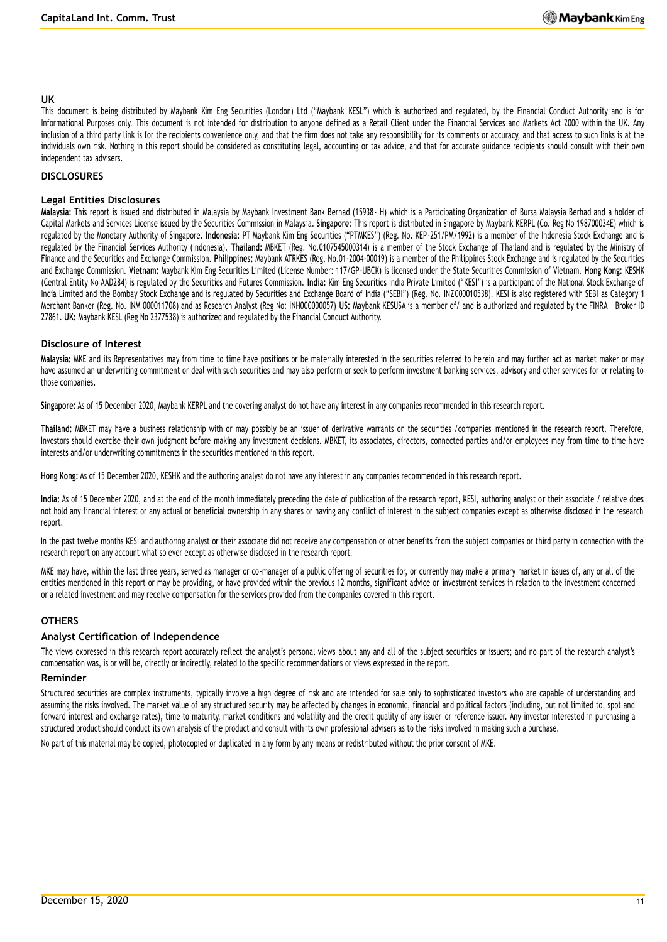### **UK**

This document is being distributed by Maybank Kim Eng Securities (London) Ltd ("Maybank KESL") which is authorized and regulated, by the Financial Conduct Authority and is for Informational Purposes only. This document is not intended for distribution to anyone defined as a Retail Client under the Financial Services and Markets Act 2000 within the UK. Any inclusion of a third party link is for the recipients convenience only, and that the firm does not take any responsibility for its comments or accuracy, and that access to such links is at the individuals own risk. Nothing in this report should be considered as constituting legal, accounting or tax advice, and that for accurate guidance recipients should consult with their own independent tax advisers.

## **DISCLOSURES**

### **Legal Entities Disclosures**

**Malaysia:** This report is issued and distributed in Malaysia by Maybank Investment Bank Berhad (15938- H) which is a Participating Organization of Bursa Malaysia Berhad and a holder of Capital Markets and Services License issued by the Securities Commission in Malaysia. **Singapore:** This report is distributed in Singapore by Maybank KERPL (Co. Reg No 198700034E) which is regulated by the Monetary Authority of Singapore. **Indonesia:** PT Maybank Kim Eng Securities ("PTMKES") (Reg. No. KEP-251/PM/1992) is a member of the Indonesia Stock Exchange and is regulated by the Financial Services Authority (Indonesia). **Thailand:** MBKET (Reg. No.0107545000314) is a member of the Stock Exchange of Thailand and is regulated by the Ministry of Finance and the Securities and Exchange Commission. **Philippines:** Maybank ATRKES (Reg. No.01-2004-00019) is a member of the Philippines Stock Exchange and is regulated by the Securities and Exchange Commission. **Vietnam:** Maybank Kim Eng Securities Limited (License Number: 117/GP-UBCK) is licensed under the State Securities Commission of Vietnam. **Hong Kong:** KESHK (Central Entity No AAD284) is regulated by the Securities and Futures Commission. **India:** Kim Eng Securities India Private Limited ("KESI") is a participant of the National Stock Exchange of India Limited and the Bombay Stock Exchange and is regulated by Securities and Exchange Board of India ("SEBI") (Reg. No. INZ000010538). KESI is also registered with SEBI as Category 1 Merchant Banker (Reg. No. INM 000011708) and as Research Analyst (Reg No: INH000000057) **US:** Maybank KESUSA is a member of/ and is authorized and regulated by the FINRA – Broker ID 27861. **UK:** Maybank KESL (Reg No 2377538) is authorized and regulated by the Financial Conduct Authority.

## **Disclosure of Interest**

**Malaysia:** MKE and its Representatives may from time to time have positions or be materially interested in the securities referred to he rein and may further act as market maker or may have assumed an underwriting commitment or deal with such securities and may also perform or seek to perform investment banking services, advisory and other services for or relating to those companies.

**Singapore:** As of 15 December 2020, Maybank KERPL and the covering analyst do not have any interest in any companies recommended in this research report.

**Thailand:** MBKET may have a business relationship with or may possibly be an issuer of derivative warrants on the securities /companies mentioned in the research report. Therefore, Investors should exercise their own judgment before making any investment decisions. MBKET, its associates, directors, connected parties and/or employees may from time to time have interests and/or underwriting commitments in the securities mentioned in this report.

**Hong Kong:** As of 15 December 2020, KESHK and the authoring analyst do not have any interest in any companies recommended in this research report.

India: As of 15 December 2020, and at the end of the month immediately preceding the date of publication of the research report, KESI, authoring analyst or their associate / relative does not hold any financial interest or any actual or beneficial ownership in any shares or having any conflict of interest in the subject companies except as otherwise disclosed in the research report.

In the past twelve months KESI and authoring analyst or their associate did not receive any compensation or other benefits from the subject companies or third party in connection with the research report on any account what so ever except as otherwise disclosed in the research report.

MKE may have, within the last three years, served as manager or co-manager of a public offering of securities for, or currently may make a primary market in issues of, any or all of the entities mentioned in this report or may be providing, or have provided within the previous 12 months, significant advice or investment services in relation to the investment concerned or a related investment and may receive compensation for the services provided from the companies covered in this report.

## **OTHERS**

## **Analyst Certification of Independence**

The views expressed in this research report accurately reflect the analyst's personal views about any and all of the subject securities or issuers; and no part of the research analyst's compensation was, is or will be, directly or indirectly, related to the specific recommendations or views expressed in the report.

### **Reminder**

Structured securities are complex instruments, typically involve a high degree of risk and are intended for sale only to sophisticated investors who are capable of understanding and assuming the risks involved. The market value of any structured security may be affected by changes in economic, financial and political factors (including, but not limited to, spot and forward interest and exchange rates), time to maturity, market conditions and volatility and the credit quality of any issuer or reference issuer. Any investor interested in purchasing a structured product should conduct its own analysis of the product and consult with its own professional advisers as to the risks involved in making such a purchase.

No part of this material may be copied, photocopied or duplicated in any form by any means or redistributed without the prior consent of MKE.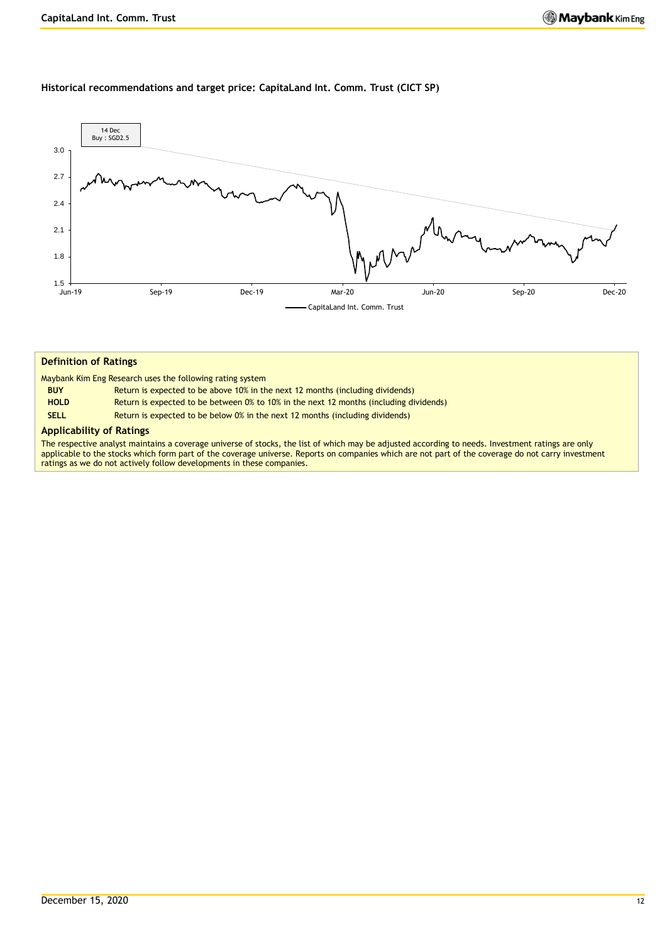## **Historical recommendations and target price: CapitaLand Int. Comm. Trust (CICT SP)**



### **Definition of Ratings**

Maybank Kim Eng Research uses the following rating system

| <b>BUY</b>  | Return is expected to be above 10% in the next 12 months (including dividends)         |
|-------------|----------------------------------------------------------------------------------------|
| <b>HOLD</b> | Return is expected to be between 0% to 10% in the next 12 months (including dividends) |
| <b>SELL</b> | Return is expected to be below 0% in the next 12 months (including dividends)          |

## **Applicability of Ratings**

The respective analyst maintains a coverage universe of stocks, the list of which may be adjusted according to needs. Investment ratings are only applicable to the stocks which form part of the coverage universe. Reports on companies which are not part of the coverage do not carry investment ratings as we do not actively follow developments in these companies.